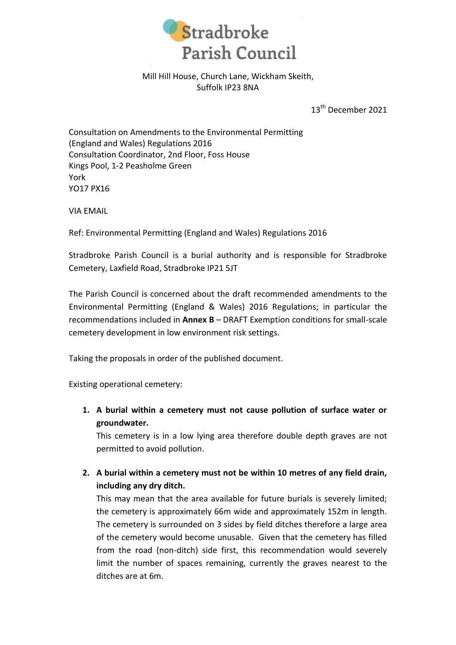

## Mill Hill House, Church Lane, Wickham Skeith, Suffolk IP23 8NA

13<sup>th</sup> December 2021

Consultation on Amendments to the Environmental Permitting (England and Wales) Regulations 2016 Consultation Coordinator, 2nd Floor, Foss House Kings Pool, 1-2 Peasholme Green York YO17 PX16

VIA EMAIL

Ref: Environmental Permitting (England and Wales) Regulations 2016

Stradbroke Parish Council is a burial authority and is responsible for Stradbroke Cemetery, Laxfield Road, Stradbroke IP21 5JT

The Parish Council is concerned about the draft recommended amendments to the Environmental Permitting (England & Wales) 2016 Regulations; in particular the recommendations included in **Annex B** – DRAFT Exemption conditions for small-scale cemetery development in low environment risk settings.

Taking the proposals in order of the published document.

Existing operational cemetery:

**1. A burial within a cemetery must not cause pollution of surface water or groundwater.**

This cemetery is in a low lying area therefore double depth graves are not permitted to avoid pollution.

**2. A burial within a cemetery must not be within 10 metres of any field drain, including any dry ditch.**

This may mean that the area available for future burials is severely limited; the cemetery is approximately 66m wide and approximately 152m in length. The cemetery is surrounded on 3 sides by field ditches therefore a large area of the cemetery would become unusable. Given that the cemetery has filled from the road (non-ditch) side first, this recommendation would severely limit the number of spaces remaining, currently the graves nearest to the ditches are at 6m.